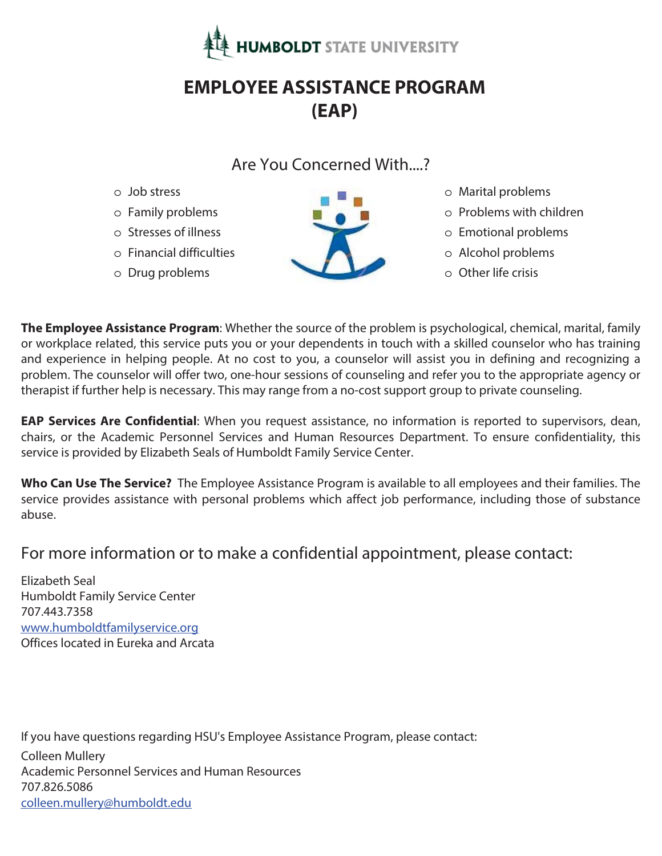

# **EMPLOYEE ASSISTANCE PROGRAM (EAP)**

## Are You Concerned With....?

- o Job stress
- o Family problems
- o Stresses of illness
- o Financial difficulties
- o Drug problems



- o Marital problems
- o Problems with children
- o Emotional problems
- o Alcohol problems
- o Other life crisis

**The Employee Assistance Program**: Whether the source of the problem is psychological, chemical, marital, family or workplace related, this service puts you or your dependents in touch with a skilled counselor who has training and experience in helping people. At no cost to you, a counselor will assist you in defining and recognizing a problem. The counselor will offer two, one-hour sessions of counseling and refer you to the appropriate agency or therapist if further help is necessary. This may range from a no-cost support group to private counseling.

**EAP Services Are Confidential**: When you request assistance, no information is reported to supervisors, dean, chairs, or the Academic Personnel Services and Human Resources Department. To ensure confidentiality, this service is provided by Elizabeth Seals of Humboldt Family Service Center.

**Who Can Use The Service?** The Employee Assistance Program is available to all employees and their families. The service provides assistance with personal problems which affect job performance, including those of substance abuse.

# For more information or to make a confidential appointment, please contact:

Elizabeth Seal Humboldt Family Service Center 707.443.7358 www.humboldtfamilyservice.org Offices located in Eureka and Arcata

If you have questions regarding HSU's Employee Assistance Program, please contact:

Colleen Mullery Academic Personnel Services and Human Resources 707.826.5086 colleen.mullery@humboldt.edu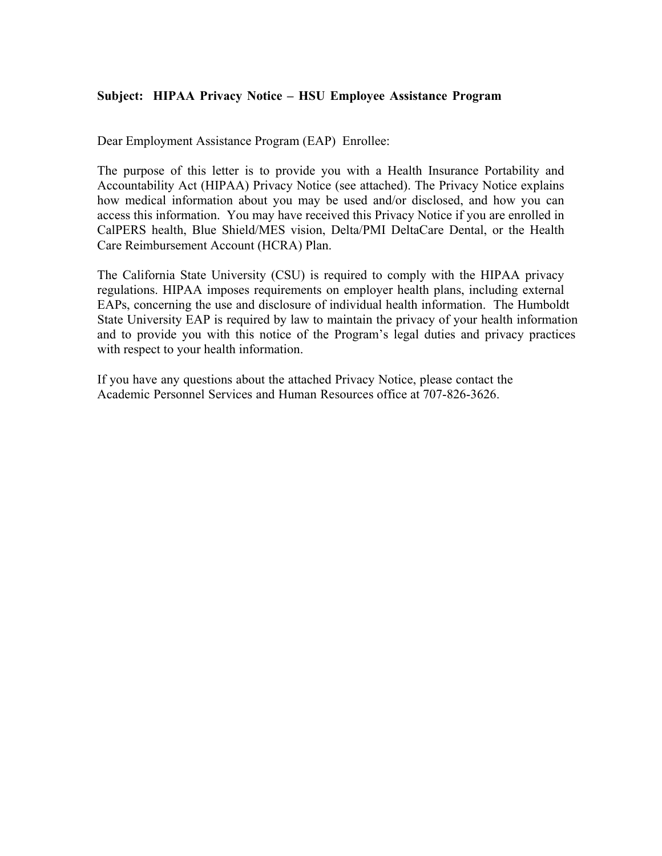#### **Subject: HIPAA Privacy Notice – HSU Employee Assistance Program**

Dear Employment Assistance Program (EAP) Enrollee:

The purpose of this letter is to provide you with a Health Insurance Portability and Accountability Act (HIPAA) Privacy Notice (see attached). The Privacy Notice explains how medical information about you may be used and/or disclosed, and how you can access this information. You may have received this Privacy Notice if you are enrolled in CalPERS health, Blue Shield/MES vision, Delta/PMI DeltaCare Dental, or the Health Care Reimbursement Account (HCRA) Plan.

The California State University (CSU) is required to comply with the HIPAA privacy regulations. HIPAA imposes requirements on employer health plans, including external EAPs, concerning the use and disclosure of individual health information. The Humboldt State University EAP is required by law to maintain the privacy of your health information and to provide you with this notice of the Program's legal duties and privacy practices with respect to your health information.

If you have any questions about the attached Privacy Notice, please contact the Academic Personnel Services and Human Resources office at 707-826-3626.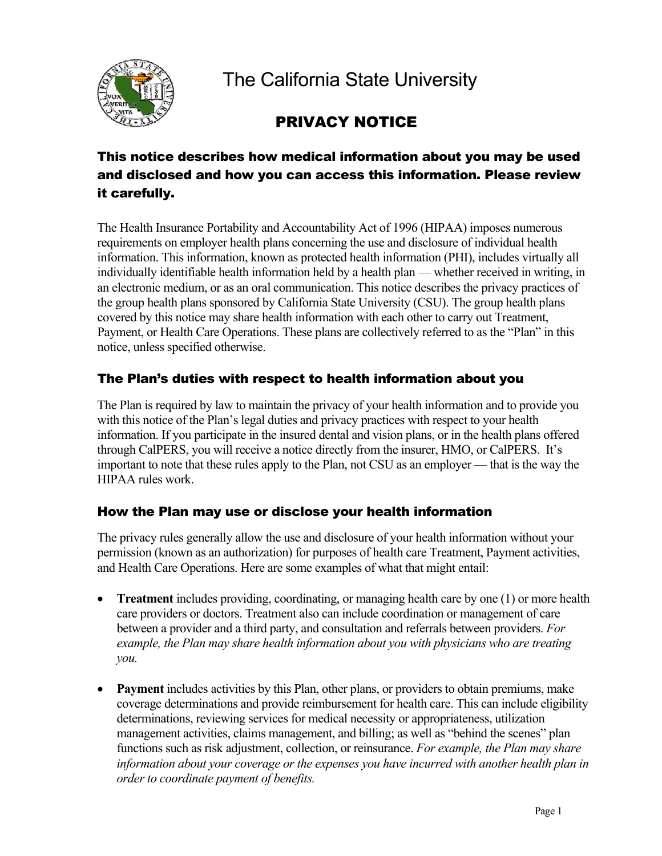

The California State University

# PRIVACY NOTICE

## This notice describes how medical information about you may be used and disclosed and how you can access this information. Please review it carefully.

The Health Insurance Portability and Accountability Act of 1996 (HIPAA) imposes numerous requirements on employer health plans concerning the use and disclosure of individual health information. This information, known as protected health information (PHI), includes virtually all individually identifiable health information held by a health plan — whether received in writing, in an electronic medium, or as an oral communication. This notice describes the privacy practices of the group health plans sponsored by California State University (CSU). The group health plans covered by this notice may share health information with each other to carry out Treatment, Payment, or Health Care Operations. These plans are collectively referred to as the "Plan" in this notice, unless specified otherwise.

### The Plan's duties with respect to health information about you

The Plan is required by law to maintain the privacy of your health information and to provide you with this notice of the Plan's legal duties and privacy practices with respect to your health information. If you participate in the insured dental and vision plans, or in the health plans offered through CalPERS, you will receive a notice directly from the insurer, HMO, or CalPERS. It's important to note that these rules apply to the Plan, not CSU as an employer — that is the way the HIPAA rules work.

### How the Plan may use or disclose your health information

The privacy rules generally allow the use and disclosure of your health information without your permission (known as an authorization) for purposes of health care Treatment, Payment activities, and Health Care Operations. Here are some examples of what that might entail:

- **Treatment** includes providing, coordinating, or managing health care by one (1) or more health care providers or doctors. Treatment also can include coordination or management of care between a provider and a third party, and consultation and referrals between providers. *For example, the Plan may share health information about you with physicians who are treating you.*
- **Payment** includes activities by this Plan, other plans, or providers to obtain premiums, make coverage determinations and provide reimbursement for health care. This can include eligibility determinations, reviewing services for medical necessity or appropriateness, utilization management activities, claims management, and billing; as well as "behind the scenes" plan functions such as risk adjustment, collection, or reinsurance. *For example, the Plan may share information about your coverage or the expenses you have incurred with another health plan in order to coordinate payment of benefits.*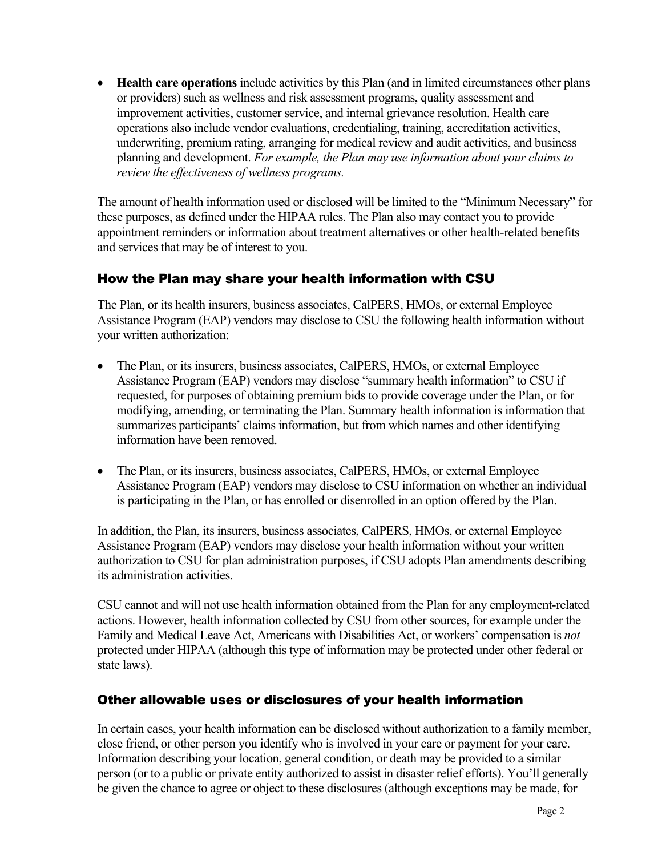• **Health care operations** include activities by this Plan (and in limited circumstances other plans or providers) such as wellness and risk assessment programs, quality assessment and improvement activities, customer service, and internal grievance resolution. Health care operations also include vendor evaluations, credentialing, training, accreditation activities, underwriting, premium rating, arranging for medical review and audit activities, and business planning and development. *For example, the Plan may use information about your claims to review the effectiveness of wellness programs.*

The amount of health information used or disclosed will be limited to the "Minimum Necessary" for these purposes, as defined under the HIPAA rules. The Plan also may contact you to provide appointment reminders or information about treatment alternatives or other health-related benefits and services that may be of interest to you.

### How the Plan may share your health information with CSU

The Plan, or its health insurers, business associates, CalPERS, HMOs, or external Employee Assistance Program (EAP) vendors may disclose to CSU the following health information without your written authorization:

- The Plan, or its insurers, business associates, CalPERS, HMOs, or external Employee Assistance Program (EAP) vendors may disclose "summary health information" to CSU if requested, for purposes of obtaining premium bids to provide coverage under the Plan, or for modifying, amending, or terminating the Plan. Summary health information is information that summarizes participants' claims information, but from which names and other identifying information have been removed.
- The Plan, or its insurers, business associates, CalPERS, HMOs, or external Employee Assistance Program (EAP) vendors may disclose to CSU information on whether an individual is participating in the Plan, or has enrolled or disenrolled in an option offered by the Plan.

In addition, the Plan, its insurers, business associates, CalPERS, HMOs, or external Employee Assistance Program (EAP) vendors may disclose your health information without your written authorization to CSU for plan administration purposes, if CSU adopts Plan amendments describing its administration activities.

CSU cannot and will not use health information obtained from the Plan for any employment-related actions. However, health information collected by CSU from other sources, for example under the Family and Medical Leave Act, Americans with Disabilities Act, or workers' compensation is *not* protected under HIPAA (although this type of information may be protected under other federal or state laws).

### Other allowable uses or disclosures of your health information

In certain cases, your health information can be disclosed without authorization to a family member, close friend, or other person you identify who is involved in your care or payment for your care. Information describing your location, general condition, or death may be provided to a similar person (or to a public or private entity authorized to assist in disaster relief efforts). You'll generally be given the chance to agree or object to these disclosures (although exceptions may be made, for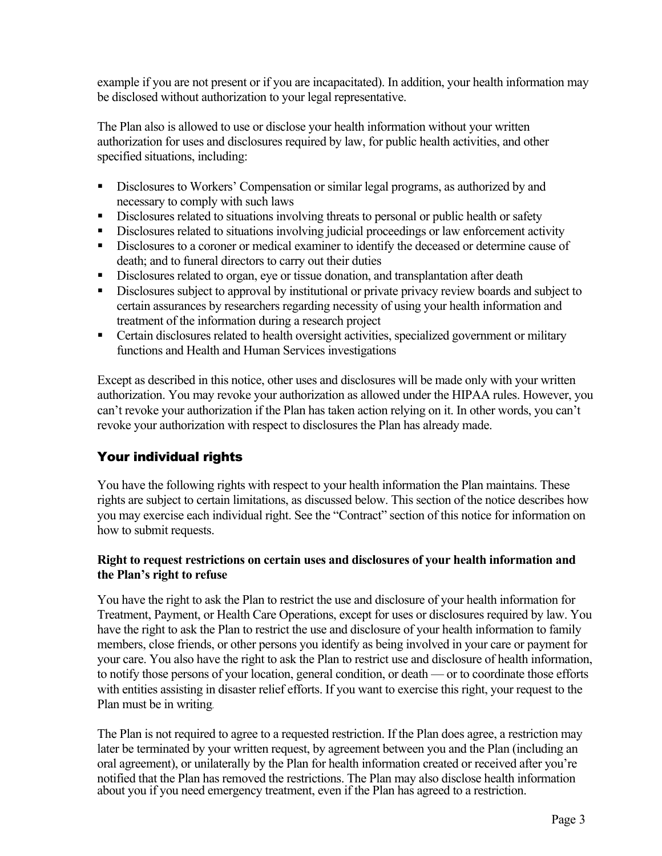example if you are not present or if you are incapacitated). In addition, your health information may be disclosed without authorization to your legal representative.

The Plan also is allowed to use or disclose your health information without your written authorization for uses and disclosures required by law, for public health activities, and other specified situations, including:

- Disclosures to Workers' Compensation or similar legal programs, as authorized by and necessary to comply with such laws
- Disclosures related to situations involving threats to personal or public health or safety
- Disclosures related to situations involving judicial proceedings or law enforcement activity
- Disclosures to a coroner or medical examiner to identify the deceased or determine cause of death; and to funeral directors to carry out their duties
- Disclosures related to organ, eye or tissue donation, and transplantation after death
- Disclosures subject to approval by institutional or private privacy review boards and subject to certain assurances by researchers regarding necessity of using your health information and treatment of the information during a research project
- **Certain disclosures related to health oversight activities, specialized government or military** functions and Health and Human Services investigations

Except as described in this notice, other uses and disclosures will be made only with your written authorization. You may revoke your authorization as allowed under the HIPAA rules. However, you can't revoke your authorization if the Plan has taken action relying on it. In other words, you can't revoke your authorization with respect to disclosures the Plan has already made.

## Your individual rights

You have the following rights with respect to your health information the Plan maintains. These rights are subject to certain limitations, as discussed below. This section of the notice describes how you may exercise each individual right. See the "Contract" section of this notice for information on how to submit requests.

#### **Right to request restrictions on certain uses and disclosures of your health information and the Plan's right to refuse**

You have the right to ask the Plan to restrict the use and disclosure of your health information for Treatment, Payment, or Health Care Operations, except for uses or disclosures required by law. You have the right to ask the Plan to restrict the use and disclosure of your health information to family members, close friends, or other persons you identify as being involved in your care or payment for your care. You also have the right to ask the Plan to restrict use and disclosure of health information, to notify those persons of your location, general condition, or death — or to coordinate those efforts with entities assisting in disaster relief efforts. If you want to exercise this right, your request to the Plan must be in writing.

The Plan is not required to agree to a requested restriction. If the Plan does agree, a restriction may later be terminated by your written request, by agreement between you and the Plan (including an oral agreement), or unilaterally by the Plan for health information created or received after you're notified that the Plan has removed the restrictions. The Plan may also disclose health information about you if you need emergency treatment, even if the Plan has agreed to a restriction.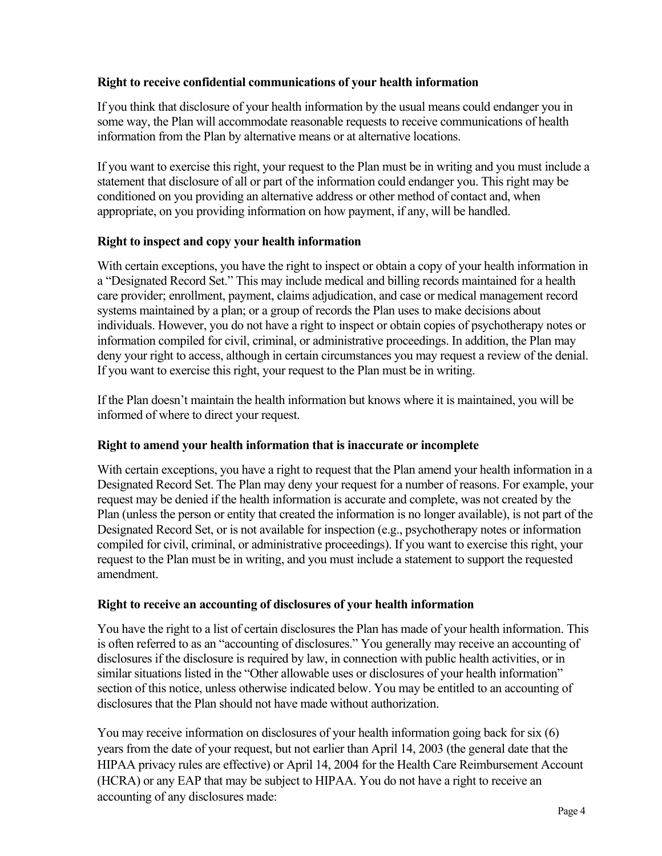#### **Right to receive confidential communications of your health information**

If you think that disclosure of your health information by the usual means could endanger you in some way, the Plan will accommodate reasonable requests to receive communications of health information from the Plan by alternative means or at alternative locations.

If you want to exercise this right, your request to the Plan must be in writing and you must include a statement that disclosure of all or part of the information could endanger you. This right may be conditioned on you providing an alternative address or other method of contact and, when appropriate, on you providing information on how payment, if any, will be handled.

#### **Right to inspect and copy your health information**

With certain exceptions, you have the right to inspect or obtain a copy of your health information in a "Designated Record Set." This may include medical and billing records maintained for a health care provider; enrollment, payment, claims adjudication, and case or medical management record systems maintained by a plan; or a group of records the Plan uses to make decisions about individuals. However, you do not have a right to inspect or obtain copies of psychotherapy notes or information compiled for civil, criminal, or administrative proceedings. In addition, the Plan may deny your right to access, although in certain circumstances you may request a review of the denial. If you want to exercise this right, your request to the Plan must be in writing.

If the Plan doesn't maintain the health information but knows where it is maintained, you will be informed of where to direct your request.

#### **Right to amend your health information that is inaccurate or incomplete**

With certain exceptions, you have a right to request that the Plan amend your health information in a Designated Record Set. The Plan may deny your request for a number of reasons. For example, your request may be denied if the health information is accurate and complete, was not created by the Plan (unless the person or entity that created the information is no longer available), is not part of the Designated Record Set, or is not available for inspection (e.g., psychotherapy notes or information compiled for civil, criminal, or administrative proceedings). If you want to exercise this right, your request to the Plan must be in writing, and you must include a statement to support the requested amendment.

#### **Right to receive an accounting of disclosures of your health information**

You have the right to a list of certain disclosures the Plan has made of your health information. This is often referred to as an "accounting of disclosures." You generally may receive an accounting of disclosures if the disclosure is required by law, in connection with public health activities, or in similar situations listed in the "Other allowable uses or disclosures of your health information" section of this notice, unless otherwise indicated below. You may be entitled to an accounting of disclosures that the Plan should not have made without authorization.

You may receive information on disclosures of your health information going back for six (6) years from the date of your request, but not earlier than April 14, 2003 (the general date that the HIPAA privacy rules are effective) or April 14, 2004 for the Health Care Reimbursement Account (HCRA) or any EAP that may be subject to HIPAA. You do not have a right to receive an accounting of any disclosures made: